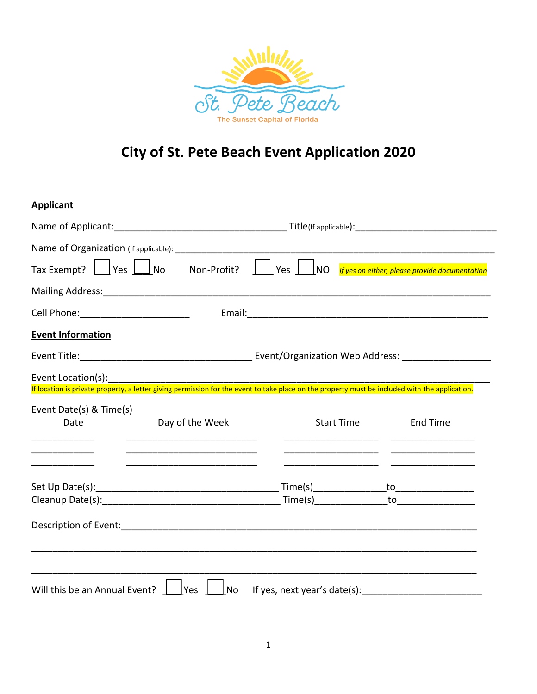

# **City of St. Pete Beach Event Application 2020**

### **Applicant**

| Tax Exempt? $\Box$ Yes $\Box$ No                                                                                                                                                                                               | Non-Profit?                                                                                                   | $ $ Yes $ $<br> NO |  | If yes on either, please provide documentation |  |  |
|--------------------------------------------------------------------------------------------------------------------------------------------------------------------------------------------------------------------------------|---------------------------------------------------------------------------------------------------------------|--------------------|--|------------------------------------------------|--|--|
| Mailing Address: Mailing Address: Mailing Address: Mailing Address: Mailing Address: Mailing Address: Mailing Address: Mailing Address: Mailing Address: Mailing Address: Mailing Address: Mailing Address: Mailing Address: M |                                                                                                               |                    |  |                                                |  |  |
| Cell Phone: ___________________________                                                                                                                                                                                        |                                                                                                               |                    |  |                                                |  |  |
| <b>Event Information</b>                                                                                                                                                                                                       |                                                                                                               |                    |  |                                                |  |  |
|                                                                                                                                                                                                                                |                                                                                                               |                    |  |                                                |  |  |
| Event Location(s):<br>EVENT LOCATION(S).<br>If location is private property, a letter giving permission for the event to take place on the property must be included with the application.                                     |                                                                                                               |                    |  |                                                |  |  |
|                                                                                                                                                                                                                                |                                                                                                               |                    |  |                                                |  |  |
| Event Date(s) & Time(s)<br>Date                                                                                                                                                                                                | Day of the Week                                                                                               | <b>Start Time</b>  |  | <b>End Time</b>                                |  |  |
|                                                                                                                                                                                                                                | <u> 1989 - Johann Barbara, martin da basar da basar da basar da basar da basar da basar da basar da basar</u> |                    |  |                                                |  |  |
|                                                                                                                                                                                                                                |                                                                                                               |                    |  |                                                |  |  |
|                                                                                                                                                                                                                                |                                                                                                               |                    |  |                                                |  |  |
| Description of Event: 1990 and 2000 and 2000 and 2000 and 2000 and 2000 and 2000 and 2000 and 2000 and 2000 and 2000 and 2000 and 2000 and 2000 and 2000 and 2000 and 2000 and 2000 and 2000 and 2000 and 2000 and 2000 and 20 |                                                                                                               |                    |  |                                                |  |  |
|                                                                                                                                                                                                                                |                                                                                                               |                    |  |                                                |  |  |
| Will this be an Annual Event?                                                                                                                                                                                                  | <b>No</b><br><b>Yes</b>                                                                                       |                    |  | If yes, next year's date(s):                   |  |  |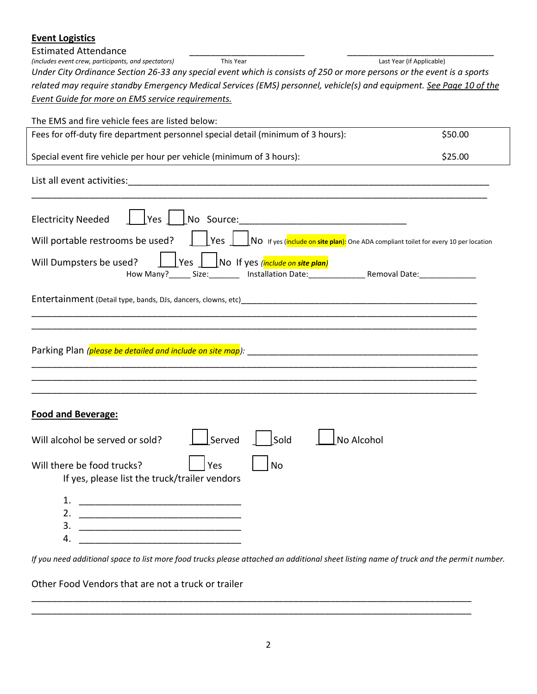| <b>Event Logistics</b>                                                                                                                                                                                                           |                           |  |  |
|----------------------------------------------------------------------------------------------------------------------------------------------------------------------------------------------------------------------------------|---------------------------|--|--|
| <b>Estimated Attendance</b><br>(includes event crew, participants, and spectators)<br>This Year                                                                                                                                  | Last Year (if Applicable) |  |  |
| Under City Ordinance Section 26-33 any special event which is consists of 250 or more persons or the event is a sports                                                                                                           |                           |  |  |
| related may require standby Emergency Medical Services (EMS) personnel, vehicle(s) and equipment. See Page 10 of the                                                                                                             |                           |  |  |
| Event Guide for more on EMS service requirements.                                                                                                                                                                                |                           |  |  |
|                                                                                                                                                                                                                                  |                           |  |  |
| The EMS and fire vehicle fees are listed below:                                                                                                                                                                                  |                           |  |  |
| Fees for off-duty fire department personnel special detail (minimum of 3 hours):                                                                                                                                                 | \$50.00                   |  |  |
| Special event fire vehicle per hour per vehicle (minimum of 3 hours):<br>\$25.00                                                                                                                                                 |                           |  |  |
|                                                                                                                                                                                                                                  |                           |  |  |
| Yes <br>No Source:<br><b>Electricity Needed</b>                                                                                                                                                                                  |                           |  |  |
| NO If yes (include on site plan): One ADA compliant toilet for every 10 per location<br>Will portable restrooms be used?<br>Yes                                                                                                  |                           |  |  |
| Yes No If yes <i>(include on site plan)</i><br>Will Dumpsters be used?                                                                                                                                                           |                           |  |  |
| Entertainment (Detail type, bands, DJs, dancers, clowns, etc)<br>and the contract of the contract of the contract of the contract of the contract of the contract of the contract of the contract of the contract of the contrac |                           |  |  |
|                                                                                                                                                                                                                                  |                           |  |  |
|                                                                                                                                                                                                                                  |                           |  |  |
| <b>Food and Beverage:</b>                                                                                                                                                                                                        |                           |  |  |
| Sold<br>Served<br>No Alcohol<br>Will alcohol be served or sold?                                                                                                                                                                  |                           |  |  |
| Yes<br><b>No</b><br>Will there be food trucks?<br>If yes, please list the truck/trailer vendors                                                                                                                                  |                           |  |  |
| 1.                                                                                                                                                                                                                               |                           |  |  |
| 2.<br><u> 1989 - Johann John Stone, mars eta biztanleria (h. 1989).</u>                                                                                                                                                          |                           |  |  |
| 3.                                                                                                                                                                                                                               |                           |  |  |

*If you need additional space to list more food trucks please attached an additional sheet listing name of truck and the permit number.*

\_\_\_\_\_\_\_\_\_\_\_\_\_\_\_\_\_\_\_\_\_\_\_\_\_\_\_\_\_\_\_\_\_\_\_\_\_\_\_\_\_\_\_\_\_\_\_\_\_\_\_\_\_\_\_\_\_\_\_\_\_\_\_\_\_\_\_\_\_\_\_\_\_\_\_\_\_\_\_\_\_\_\_\_ \_\_\_\_\_\_\_\_\_\_\_\_\_\_\_\_\_\_\_\_\_\_\_\_\_\_\_\_\_\_\_\_\_\_\_\_\_\_\_\_\_\_\_\_\_\_\_\_\_\_\_\_\_\_\_\_\_\_\_\_\_\_\_\_\_\_\_\_\_\_\_\_\_\_\_\_\_\_\_\_\_\_\_\_

Other Food Vendors that are not a truck or trailer

4. \_\_\_\_\_\_\_\_\_\_\_\_\_\_\_\_\_\_\_\_\_\_\_\_\_\_\_\_\_\_\_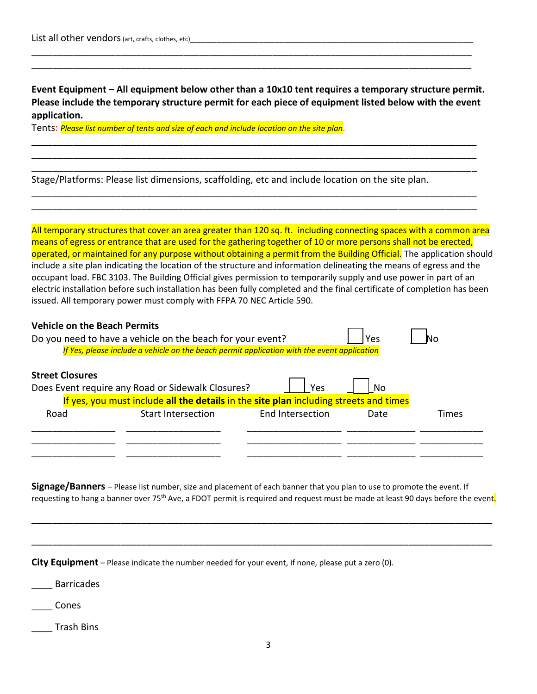**Event Equipment – All equipment below other than a 10x10 tent requires a temporary structure permit. Please include the temporary structure permit for each piece of equipment listed below with the event application.**

\_\_\_\_\_\_\_\_\_\_\_\_\_\_\_\_\_\_\_\_\_\_\_\_\_\_\_\_\_\_\_\_\_\_\_\_\_\_\_\_\_\_\_\_\_\_\_\_\_\_\_\_\_\_\_\_\_\_\_\_\_\_\_\_\_\_\_\_\_\_\_\_\_\_\_\_\_\_\_\_\_\_\_\_\_ \_\_\_\_\_\_\_\_\_\_\_\_\_\_\_\_\_\_\_\_\_\_\_\_\_\_\_\_\_\_\_\_\_\_\_\_\_\_\_\_\_\_\_\_\_\_\_\_\_\_\_\_\_\_\_\_\_\_\_\_\_\_\_\_\_\_\_\_\_\_\_\_\_\_\_\_\_\_\_\_\_\_\_\_\_ \_\_\_\_\_\_\_\_\_\_\_\_\_\_\_\_\_\_\_\_\_\_\_\_\_\_\_\_\_\_\_\_\_\_\_\_\_\_\_\_\_\_\_\_\_\_\_\_\_\_\_\_\_\_\_\_\_\_\_\_\_\_\_\_\_\_\_\_\_\_\_\_\_\_\_\_\_\_\_\_\_\_\_\_\_

\_\_\_\_\_\_\_\_\_\_\_\_\_\_\_\_\_\_\_\_\_\_\_\_\_\_\_\_\_\_\_\_\_\_\_\_\_\_\_\_\_\_\_\_\_\_\_\_\_\_\_\_\_\_\_\_\_\_\_\_\_\_\_\_\_\_\_\_\_\_\_\_\_\_\_\_\_\_\_\_\_\_\_\_\_ \_\_\_\_\_\_\_\_\_\_\_\_\_\_\_\_\_\_\_\_\_\_\_\_\_\_\_\_\_\_\_\_\_\_\_\_\_\_\_\_\_\_\_\_\_\_\_\_\_\_\_\_\_\_\_\_\_\_\_\_\_\_\_\_\_\_\_\_\_\_\_\_\_\_\_\_\_\_\_\_\_\_\_\_\_

\_\_\_\_\_\_\_\_\_\_\_\_\_\_\_\_\_\_\_\_\_\_\_\_\_\_\_\_\_\_\_\_\_\_\_\_\_\_\_\_\_\_\_\_\_\_\_\_\_\_\_\_\_\_\_\_\_\_\_\_\_\_\_\_\_\_\_\_\_\_\_\_\_\_\_\_\_\_\_\_\_\_\_\_ \_\_\_\_\_\_\_\_\_\_\_\_\_\_\_\_\_\_\_\_\_\_\_\_\_\_\_\_\_\_\_\_\_\_\_\_\_\_\_\_\_\_\_\_\_\_\_\_\_\_\_\_\_\_\_\_\_\_\_\_\_\_\_\_\_\_\_\_\_\_\_\_\_\_\_\_\_\_\_\_\_\_\_\_

Tents: *Please list number of tents and size of each and include location on the site plan.* 

Stage/Platforms: Please list dimensions, scaffolding, etc and include location on the site plan.

All temporary structures that cover an area greater than 120 sq. ft. including connecting spaces with a common area means of egress or entrance that are used for the gathering together of 10 or more persons shall not be erected, operated, or maintained for any purpose without obtaining a permit from the Building Official. The application should include a site plan indicating the location of the structure and information delineating the means of egress and the occupant load. FBC 3103. The Building Official gives permission to temporarily supply and use power in part of an electric installation before such installation has been fully completed and the final certificate of completion has been issued. All temporary power must comply with FFPA 70 NEC Article 590.

| <b>Vehicle on the Beach Permits</b>                                                         |       |  |  |  |  |  |  |  |
|---------------------------------------------------------------------------------------------|-------|--|--|--|--|--|--|--|
| Do you need to have a vehicle on the beach for your event?<br>Yes                           | NΟ    |  |  |  |  |  |  |  |
| If Yes, please include a vehicle on the beach permit application with the event application |       |  |  |  |  |  |  |  |
|                                                                                             |       |  |  |  |  |  |  |  |
| <b>Street Closures</b>                                                                      |       |  |  |  |  |  |  |  |
| Does Event require any Road or Sidewalk Closures?<br>Yes<br>Nο                              |       |  |  |  |  |  |  |  |
| If yes, you must include all the details in the site plan including streets and times       |       |  |  |  |  |  |  |  |
| End Intersection<br><b>Start Intersection</b><br>Road<br>Date                               | Times |  |  |  |  |  |  |  |
|                                                                                             |       |  |  |  |  |  |  |  |
|                                                                                             |       |  |  |  |  |  |  |  |
|                                                                                             |       |  |  |  |  |  |  |  |

**Signage/Banners** – Please list number, size and placement of each banner that you plan to use to promote the event. If requesting to hang a banner over 75<sup>th</sup> Ave, a FDOT permit is required and request must be made at least 90 days before the event.

\_\_\_\_\_\_\_\_\_\_\_\_\_\_\_\_\_\_\_\_\_\_\_\_\_\_\_\_\_\_\_\_\_\_\_\_\_\_\_\_\_\_\_\_\_\_\_\_\_\_\_\_\_\_\_\_\_\_\_\_\_\_\_\_\_\_\_\_\_\_\_\_\_\_\_\_\_\_\_\_\_\_\_\_\_\_\_\_

| <b>City Equipment</b> – Please indicate the number needed for your event, if none, please put a zero (0). |  |
|-----------------------------------------------------------------------------------------------------------|--|
| <b>Barricades</b>                                                                                         |  |
| Cones                                                                                                     |  |

\_\_\_\_ Trash Bins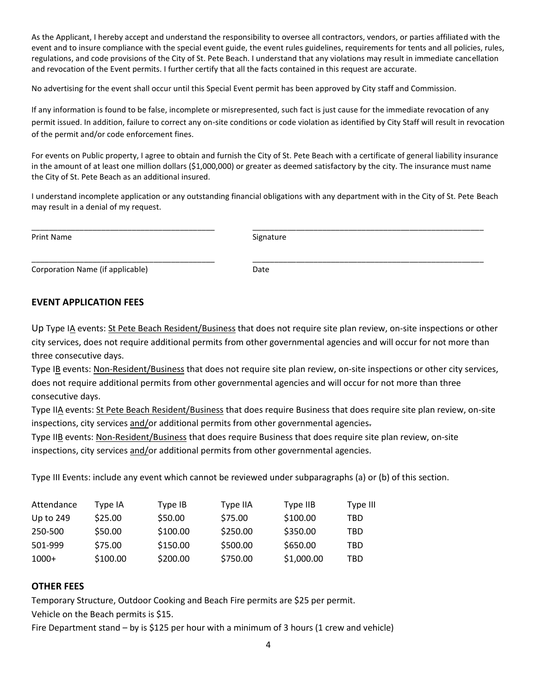As the Applicant, I hereby accept and understand the responsibility to oversee all contractors, vendors, or parties affiliated with the event and to insure compliance with the special event guide, the event rules guidelines, requirements for tents and all policies, rules, regulations, and code provisions of the City of St. Pete Beach. I understand that any violations may result in immediate cancellation and revocation of the Event permits. I further certify that all the facts contained in this request are accurate.

No advertising for the event shall occur until this Special Event permit has been approved by City staff and Commission.

If any information is found to be false, incomplete or misrepresented, such fact is just cause for the immediate revocation of any permit issued. In addition, failure to correct any on-site conditions or code violation as identified by City Staff will result in revocation of the permit and/or code enforcement fines.

For events on Public property, I agree to obtain and furnish the City of St. Pete Beach with a certificate of general liability insurance in the amount of at least one million dollars (\$1,000,000) or greater as deemed satisfactory by the city. The insurance must name the City of St. Pete Beach as an additional insured.

I understand incomplete application or any outstanding financial obligations with any department with in the City of St. Pete Beach may result in a denial of my request.

Print Name Signature

\_\_\_\_\_\_\_\_\_\_\_\_\_\_\_\_\_\_\_\_\_\_\_\_\_\_\_\_\_\_\_\_\_\_\_\_\_\_\_\_\_\_ \_\_\_\_\_\_\_\_\_\_\_\_\_\_\_\_\_\_\_\_\_\_\_\_\_\_\_\_\_\_\_\_\_\_\_\_\_\_\_\_\_\_\_\_\_\_\_\_\_\_\_\_\_

\_\_\_\_\_\_\_\_\_\_\_\_\_\_\_\_\_\_\_\_\_\_\_\_\_\_\_\_\_\_\_\_\_\_\_\_\_\_\_\_\_\_ \_\_\_\_\_\_\_\_\_\_\_\_\_\_\_\_\_\_\_\_\_\_\_\_\_\_\_\_\_\_\_\_\_\_\_\_\_\_\_\_\_\_\_\_\_\_\_\_\_\_\_\_\_ Corporation Name (if applicable) and the corporation Date

#### **EVENT APPLICATION FEES**

Up Type IA events: St Pete Beach Resident/Business that does not require site plan review, on-site inspections or other city services, does not require additional permits from other governmental agencies and will occur for not more than three consecutive days.

Type IB events: Non-Resident/Business that does not require site plan review, on-site inspections or other city services, does not require additional permits from other governmental agencies and will occur for not more than three consecutive days.

Type IIA events: St Pete Beach Resident/Business that does require Business that does require site plan review, on-site inspections, city services and/or additional permits from other governmental agencies-

Type IIB events: Non-Resident/Business that does require Business that does require site plan review, on-site inspections, city services and/or additional permits from other governmental agencies.

Type III Events: include any event which cannot be reviewed under subparagraphs (a) or (b) of this section.

| Attendance | Type IA  | Type IB  | Type IIA | Type IIB   | Type III |
|------------|----------|----------|----------|------------|----------|
| Up to 249  | \$25.00  | \$50.00  | \$75.00  | \$100.00   | TBD      |
| 250-500    | \$50.00  | \$100.00 | \$250.00 | \$350.00   | TBD      |
| 501-999    | \$75.00  | \$150.00 | \$500.00 | \$650.00   | TBD      |
| $1000+$    | \$100.00 | \$200.00 | \$750.00 | \$1,000.00 | TBD      |

#### **OTHER FEES**

Temporary Structure, Outdoor Cooking and Beach Fire permits are \$25 per permit. Vehicle on the Beach permits is \$15.

Fire Department stand – by is \$125 per hour with a minimum of 3 hours (1 crew and vehicle)